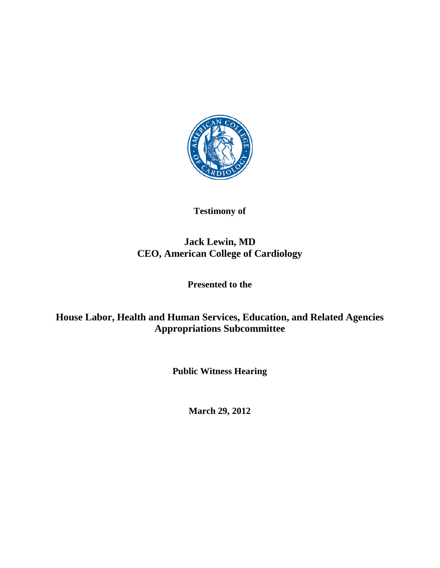

**Testimony of**

# **Jack Lewin, MD CEO, American College of Cardiology**

**Presented to the** 

**House Labor, Health and Human Services, Education, and Related Agencies Appropriations Subcommittee** 

**Public Witness Hearing** 

**March 29, 2012**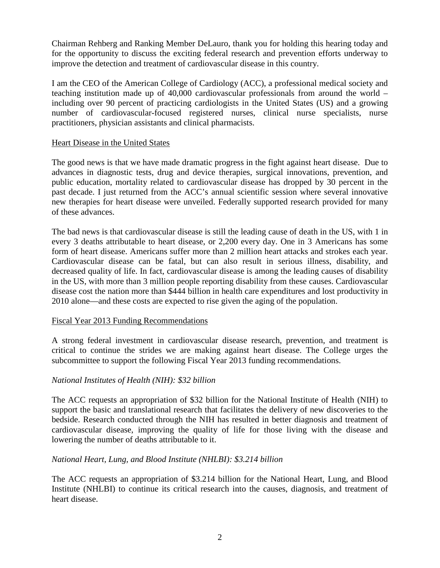Chairman Rehberg and Ranking Member DeLauro, thank you for holding this hearing today and for the opportunity to discuss the exciting federal research and prevention efforts underway to improve the detection and treatment of cardiovascular disease in this country.

I am the CEO of the American College of Cardiology (ACC), a professional medical society and teaching institution made up of 40,000 cardiovascular professionals from around the world – including over 90 percent of practicing cardiologists in the United States (US) and a growing number of cardiovascular-focused registered nurses, clinical nurse specialists, nurse practitioners, physician assistants and clinical pharmacists.

#### Heart Disease in the United States

The good news is that we have made dramatic progress in the fight against heart disease. Due to advances in diagnostic tests, drug and device therapies, surgical innovations, prevention, and public education, mortality related to cardiovascular disease has dropped by 30 percent in the past decade. I just returned from the ACC's annual scientific session where several innovative new therapies for heart disease were unveiled. Federally supported research provided for many of these advances.

The bad news is that cardiovascular disease is still the leading cause of death in the US, with 1 in every 3 deaths attributable to heart disease, or 2,200 every day. One in 3 Americans has some form of heart disease. Americans suffer more than 2 million heart attacks and strokes each year. Cardiovascular disease can be fatal, but can also result in serious illness, disability, and decreased quality of life. In fact, cardiovascular disease is among the leading causes of disability in the US, with more than 3 million people reporting disability from these causes. Cardiovascular disease cost the nation more than \$444 billion in health care expenditures and lost productivity in 2010 alone—and these costs are expected to rise given the aging of the population.

## Fiscal Year 2013 Funding Recommendations

A strong federal investment in cardiovascular disease research, prevention, and treatment is critical to continue the strides we are making against heart disease. The College urges the subcommittee to support the following Fiscal Year 2013 funding recommendations.

## *National Institutes of Health (NIH): \$32 billion*

The ACC requests an appropriation of \$32 billion for the National Institute of Health (NIH) to support the basic and translational research that facilitates the delivery of new discoveries to the bedside. Research conducted through the NIH has resulted in better diagnosis and treatment of cardiovascular disease, improving the quality of life for those living with the disease and lowering the number of deaths attributable to it.

## *National Heart, Lung, and Blood Institute (NHLBI): \$3.214 billion*

The ACC requests an appropriation of \$3.214 billion for the National Heart, Lung, and Blood Institute (NHLBI) to continue its critical research into the causes, diagnosis, and treatment of heart disease.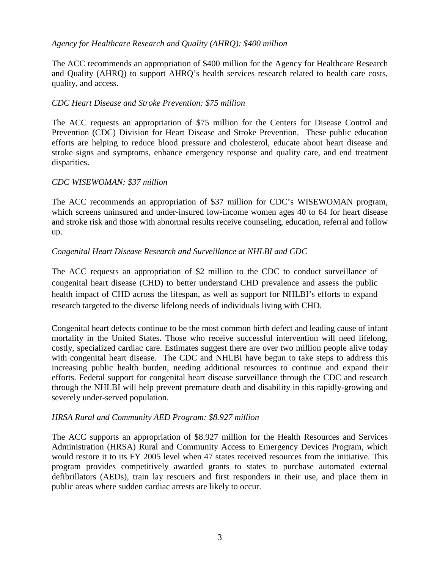## *Agency for Healthcare Research and Quality (AHRQ): \$400 million*

The ACC recommends an appropriation of \$400 million for the Agency for Healthcare Research and Quality (AHRQ) to support AHRQ's health services research related to health care costs, quality, and access.

#### *CDC Heart Disease and Stroke Prevention: \$75 million*

The ACC requests an appropriation of \$75 million for the Centers for Disease Control and Prevention (CDC) Division for Heart Disease and Stroke Prevention. These public education efforts are helping to reduce blood pressure and cholesterol, educate about heart disease and stroke signs and symptoms, enhance emergency response and quality care, and end treatment disparities.

#### *CDC WISEWOMAN: \$37 million*

The ACC recommends an appropriation of \$37 million for CDC's WISEWOMAN program, which screens uninsured and under-insured low-income women ages 40 to 64 for heart disease and stroke risk and those with abnormal results receive counseling, education, referral and follow up.

#### *Congenital Heart Disease Research and Surveillance at NHLBI and CDC*

The ACC requests an appropriation of \$2 million to the CDC to conduct surveillance of congenital heart disease (CHD) to better understand CHD prevalence and assess the public health impact of CHD across the lifespan, as well as support for NHLBI's efforts to expand research targeted to the diverse lifelong needs of individuals living with CHD.

Congenital heart defects continue to be the most common birth defect and leading cause of infant mortality in the United States. Those who receive successful intervention will need lifelong, costly, specialized cardiac care. Estimates suggest there are over two million people alive today with congenital heart disease. The CDC and NHLBI have begun to take steps to address this increasing public health burden, needing additional resources to continue and expand their efforts. Federal support for congenital heart disease surveillance through the CDC and research through the NHLBI will help prevent premature death and disability in this rapidly-growing and severely under-served population.

#### *HRSA Rural and Community AED Program: \$8.927 million*

The ACC supports an appropriation of \$8.927 million for the Health Resources and Services Administration (HRSA) [Rural and Community Access to Emergency Devices Program, which](http://www.capitolconnect.com/yourethecure/fastaction.aspx?AlertID=15728)  [would restore it to its FY 2005 level when 47 states received resources from the initiative.](http://www.capitolconnect.com/yourethecure/fastaction.aspx?AlertID=15728) This program provides competitively awarded grants to states to purchase automated external defibrillators (AEDs), train lay rescuers and first responders in their use, and place them in public areas where sudden cardiac arrests are likely to occur.